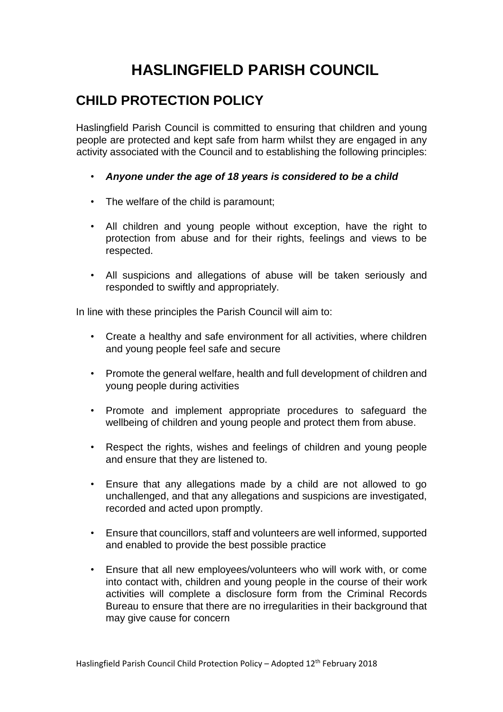## **HASLINGFIELD PARISH COUNCIL**

## **CHILD PROTECTION POLICY**

Haslingfield Parish Council is committed to ensuring that children and young people are protected and kept safe from harm whilst they are engaged in any activity associated with the Council and to establishing the following principles:

- *Anyone under the age of 18 years is considered to be a child*
- The welfare of the child is paramount;
- All children and young people without exception, have the right to protection from abuse and for their rights, feelings and views to be respected.
- All suspicions and allegations of abuse will be taken seriously and responded to swiftly and appropriately.

In line with these principles the Parish Council will aim to:

- Create a healthy and safe environment for all activities, where children and young people feel safe and secure
- Promote the general welfare, health and full development of children and young people during activities
- Promote and implement appropriate procedures to safeguard the wellbeing of children and young people and protect them from abuse.
- Respect the rights, wishes and feelings of children and young people and ensure that they are listened to.
- Ensure that any allegations made by a child are not allowed to go unchallenged, and that any allegations and suspicions are investigated, recorded and acted upon promptly.
- Ensure that councillors, staff and volunteers are well informed, supported and enabled to provide the best possible practice
- Ensure that all new employees/volunteers who will work with, or come into contact with, children and young people in the course of their work activities will complete a disclosure form from the Criminal Records Bureau to ensure that there are no irregularities in their background that may give cause for concern